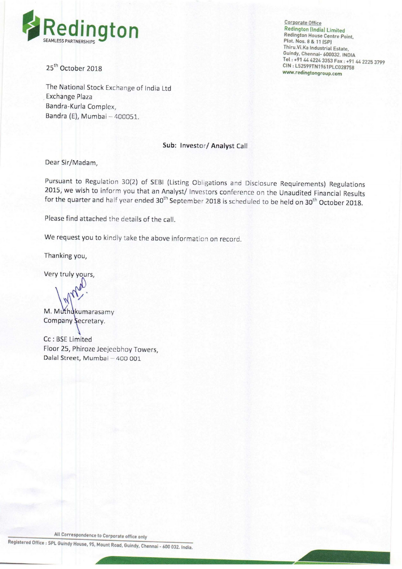

The National Stock Exchange of India Ltd Exchange Plaza Bandra—Kurla Complex, Bandra (E), Mumbai — 400051.

Redington House Centre Point,<br>Plot. Nos. 8 & 11 (SP) Thiru.Vi.Ka Industrial Estate, Guindy. Chennai~ 600032. lNDlA Tel : +91 <sup>44</sup> <sup>4224</sup> <sup>3353</sup> Fax : +91 <sup>44</sup> <sup>2225</sup> <sup>3799</sup>  $25<sup>th</sup>$  October 2018 CIN : L52599TN1961PLC028758 www.redingtongroup.com

#### Sub: lnvestor/ Analyst Call

Dear Sir/Madam,

Pursuant to Regulation 30(2) of SEBl (Listing Obligations and Disclosure Requirements) Regulations 2015, we wish to inform you that an Analyst/ Investors conference on the Unaudited Financial Results for the quarter and half year ended 30<sup>th</sup> September 2018 is scheduled to be held on 30<sup>th</sup> October 2018.

Please find attached the details of the call.

We request you to kindly take the above information on record.

Thanking you,

Very truly yours,

M M<sup>M</sup>

Company Secretary.

Cc : BSE Limited Floor 25, Phiroze Jeejeebhoy Towers, Dalal Street, Mumbai — 400 001

All Correspondence to Corporate office only

Registered Office : SPL Guindy House, 95, Mount Road, Guindy. Chennai - 600 032. indie.